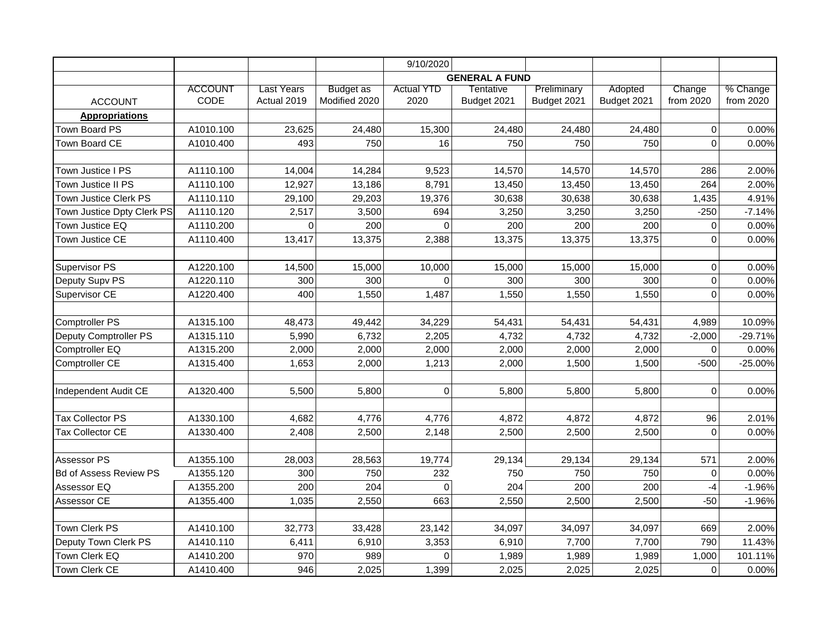|                               |                |             |                  | 9/10/2020         |                       |             |             |                |           |
|-------------------------------|----------------|-------------|------------------|-------------------|-----------------------|-------------|-------------|----------------|-----------|
|                               |                |             |                  |                   | <b>GENERAL A FUND</b> |             |             |                |           |
|                               | <b>ACCOUNT</b> | Last Years  | <b>Budget</b> as | <b>Actual YTD</b> | Tentative             | Preliminary | Adopted     | Change         | % Change  |
| <b>ACCOUNT</b>                | CODE           | Actual 2019 | Modified 2020    | 2020              | Budget 2021           | Budget 2021 | Budget 2021 | from 2020      | from 2020 |
| <b>Appropriations</b>         |                |             |                  |                   |                       |             |             |                |           |
| Town Board PS                 | A1010.100      | 23,625      | 24,480           | 15,300            | 24,480                | 24,480      | 24,480      | $\overline{0}$ | 0.00%     |
| Town Board CE                 | A1010.400      | 493         | 750              | 16                | 750                   | 750         | 750         | $\mathbf 0$    | 0.00%     |
|                               |                |             |                  |                   |                       |             |             |                |           |
| Town Justice I PS             | A1110.100      | 14,004      | 14,284           | 9,523             | 14,570                | 14,570      | 14,570      | 286            | 2.00%     |
| Town Justice II PS            | A1110.100      | 12,927      | 13,186           | 8,791             | 13,450                | 13,450      | 13,450      | 264            | 2.00%     |
| Town Justice Clerk PS         | A1110.110      | 29,100      | 29,203           | 19,376            | 30,638                | 30,638      | 30,638      | 1,435          | 4.91%     |
| Town Justice Dpty Clerk PS    | A1110.120      | 2,517       | 3,500            | 694               | 3,250                 | 3,250       | 3,250       | $-250$         | $-7.14%$  |
| Town Justice EQ               | A1110.200      | $\Omega$    | 200              | $\Omega$          | 200                   | 200         | 200         | 0              | 0.00%     |
| Town Justice CE               | A1110.400      | 13,417      | 13,375           | 2,388             | 13,375                | 13,375      | 13,375      | $\mathbf 0$    | 0.00%     |
|                               |                |             |                  |                   |                       |             |             |                |           |
| Supervisor PS                 | A1220.100      | 14,500      | 15,000           | 10,000            | 15,000                | 15,000      | 15,000      | $\mathbf 0$    | 0.00%     |
| Deputy Supv PS                | A1220.110      | 300         | 300              | $\mathbf 0$       | 300                   | 300         | 300         | $\mathbf 0$    | 0.00%     |
| Supervisor CE                 | A1220.400      | 400         | 1,550            | 1,487             | 1,550                 | 1,550       | 1,550       | $\mathbf 0$    | 0.00%     |
|                               |                |             |                  |                   |                       |             |             |                |           |
| <b>Comptroller PS</b>         | A1315.100      | 48,473      | 49,442           | 34,229            | 54,431                | 54,431      | 54,431      | 4,989          | 10.09%    |
| Deputy Comptroller PS         | A1315.110      | 5,990       | 6,732            | 2,205             | 4,732                 | 4,732       | 4,732       | $-2,000$       | $-29.71%$ |
| Comptroller EQ                | A1315.200      | 2,000       | 2,000            | 2,000             | 2,000                 | 2,000       | 2,000       | 0              | 0.00%     |
| Comptroller CE                | A1315.400      | 1,653       | 2,000            | 1,213             | 2,000                 | 1,500       | 1,500       | $-500$         | $-25.00%$ |
|                               |                |             |                  |                   |                       |             |             |                |           |
| Independent Audit CE          | A1320.400      | 5,500       | 5,800            | 0                 | 5,800                 | 5,800       | 5,800       | $\mathbf 0$    | 0.00%     |
|                               |                |             |                  |                   |                       |             |             |                |           |
| <b>Tax Collector PS</b>       | A1330.100      | 4,682       | 4,776            | 4,776             | 4,872                 | 4,872       | 4,872       | 96             | 2.01%     |
| <b>Tax Collector CE</b>       | A1330.400      | 2,408       | 2,500            | 2,148             | 2,500                 | 2,500       | 2,500       | $\mathbf 0$    | 0.00%     |
|                               |                |             |                  |                   |                       |             |             |                |           |
| Assessor PS                   | A1355.100      | 28,003      | 28,563           | 19,774            | 29,134                | 29,134      | 29,134      | 571            | 2.00%     |
| <b>Bd of Assess Review PS</b> | A1355.120      | 300         | 750              | 232               | 750                   | 750         | 750         | $\mathbf 0$    | 0.00%     |
| Assessor EQ                   | A1355.200      | 200         | 204              | $\Omega$          | 204                   | 200         | 200         | -4             | $-1.96%$  |
| Assessor CE                   | A1355.400      | 1,035       | 2,550            | 663               | 2,550                 | 2,500       | 2,500       | $-50$          | $-1.96%$  |
|                               |                |             |                  |                   |                       |             |             |                |           |
| Town Clerk PS                 | A1410.100      | 32,773      | 33,428           | 23,142            | 34,097                | 34,097      | 34,097      | 669            | 2.00%     |
| Deputy Town Clerk PS          | A1410.110      | 6,411       | 6,910            | 3,353             | 6,910                 | 7,700       | 7,700       | 790            | 11.43%    |
| Town Clerk EQ                 | A1410.200      | 970         | 989              | $\Omega$          | 1,989                 | 1,989       | 1,989       | 1,000          | 101.11%   |
| Town Clerk CE                 | A1410.400      | 946         | 2,025            | 1,399             | 2,025                 | 2,025       | 2,025       | $\mathbf 0$    | 0.00%     |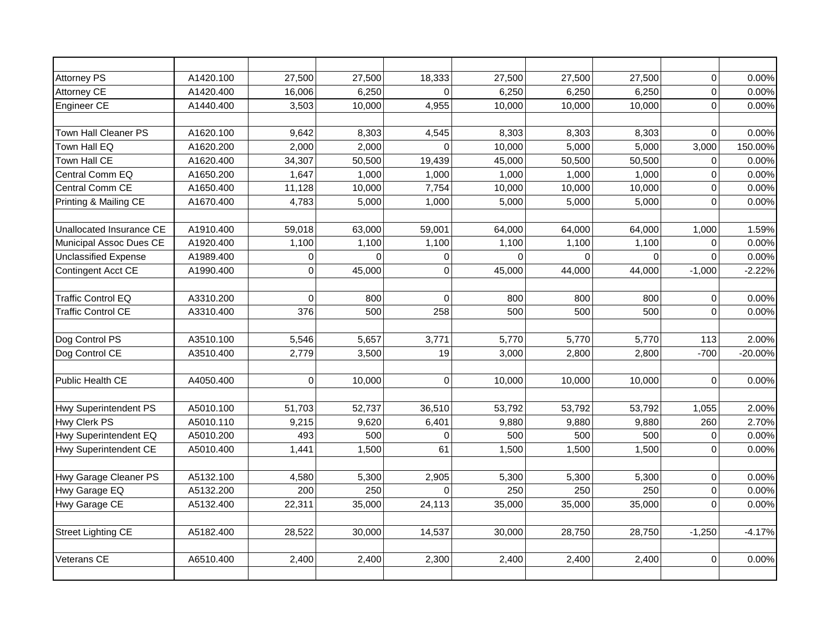| <b>Attorney PS</b>           | A1420.100 | 27,500    | 27,500   | 18,333         | 27,500   | 27,500   | 27,500   | $\mathsf{O}\xspace$ | 0.00%    |
|------------------------------|-----------|-----------|----------|----------------|----------|----------|----------|---------------------|----------|
| Attorney CE                  | A1420.400 | 16,006    | 6,250    | $\Omega$       | 6,250    | 6,250    | 6,250    | $\mathbf 0$         | 0.00%    |
| Engineer CE                  | A1440.400 | 3,503     | 10,000   | 4,955          | 10,000   | 10,000   | 10,000   | $\mathsf{O}\xspace$ | 0.00%    |
|                              |           |           |          |                |          |          |          |                     |          |
| Town Hall Cleaner PS         | A1620.100 | 9,642     | 8,303    | 4,545          | 8,303    | 8,303    | 8,303    | $\mathbf 0$         | 0.00%    |
| Town Hall EQ                 | A1620.200 | 2,000     | 2,000    | $\Omega$       | 10,000   | 5,000    | 5,000    | 3,000               | 150.00%  |
| Town Hall CE                 | A1620.400 | 34,307    | 50,500   | 19,439         | 45,000   | 50,500   | 50,500   | $\mathbf 0$         | 0.00%    |
| Central Comm EQ              | A1650.200 | 1,647     | 1,000    | 1,000          | 1,000    | 1,000    | 1,000    | $\mathbf 0$         | 0.00%    |
| Central Comm CE              | A1650.400 | 11,128    | 10,000   | 7,754          | 10,000   | 10,000   | 10,000   | $\mathbf 0$         | 0.00%    |
| Printing & Mailing CE        | A1670.400 | 4,783     | 5,000    | 1,000          | 5,000    | 5,000    | 5,000    | $\mathbf 0$         | 0.00%    |
|                              |           |           |          |                |          |          |          |                     |          |
| Unallocated Insurance CE     | A1910.400 | 59,018    | 63,000   | 59,001         | 64,000   | 64,000   | 64,000   | 1,000               | 1.59%    |
| Municipal Assoc Dues CE      | A1920.400 | 1,100     | 1,100    | 1,100          | 1,100    | 1,100    | 1,100    | $\Omega$            | 0.00%    |
| <b>Unclassified Expense</b>  | A1989.400 | 0         | $\Omega$ | $\overline{0}$ | $\Omega$ | $\Omega$ | $\Omega$ | $\Omega$            | 0.00%    |
| Contingent Acct CE           | A1990.400 | 0         | 45,000   | $\mathbf 0$    | 45,000   | 44,000   | 44,000   | $-1,000$            | $-2.22%$ |
|                              |           |           |          |                |          |          |          |                     |          |
| <b>Traffic Control EQ</b>    | A3310.200 | $\Omega$  | 800      | $\Omega$       | 800      | 800      | 800      | 0                   | 0.00%    |
| <b>Traffic Control CE</b>    | A3310.400 | 376       | 500      | 258            | 500      | 500      | 500      | $\mathbf 0$         | 0.00%    |
|                              |           |           |          |                |          |          |          |                     |          |
| Dog Control PS               | A3510.100 | 5,546     | 5,657    | 3,771          | 5,770    | 5,770    | 5,770    | 113                 | 2.00%    |
| Dog Control CE               | A3510.400 | 2,779     | 3,500    | 19             | 3,000    | 2,800    | 2,800    | $-700$              | -20.00%  |
|                              |           |           |          |                |          |          |          |                     |          |
| Public Health CE             | A4050.400 | $\pmb{0}$ | 10,000   | $\pmb{0}$      | 10,000   | 10,000   | 10,000   | $\boldsymbol{0}$    | 0.00%    |
|                              |           |           |          |                |          |          |          |                     |          |
| <b>Hwy Superintendent PS</b> | A5010.100 | 51,703    | 52,737   | 36,510         | 53,792   | 53,792   | 53,792   | 1,055               | 2.00%    |
| <b>Hwy Clerk PS</b>          | A5010.110 | 9,215     | 9,620    | 6,401          | 9,880    | 9,880    | 9,880    | 260                 | 2.70%    |
| Hwy Superintendent EQ        | A5010.200 | 493       | 500      | $\Omega$       | 500      | 500      | 500      | 0                   | 0.00%    |
| <b>Hwy Superintendent CE</b> | A5010.400 | 1,441     | 1,500    | 61             | 1,500    | 1,500    | 1,500    | $\mathbf 0$         | 0.00%    |
|                              |           |           |          |                |          |          |          |                     |          |
| Hwy Garage Cleaner PS        | A5132.100 | 4,580     | 5,300    | 2,905          | 5,300    | 5,300    | 5,300    | $\pmb{0}$           | 0.00%    |
| Hwy Garage EQ                | A5132.200 | 200       | 250      | $\Omega$       | 250      | 250      | 250      | $\mathbf 0$         | 0.00%    |
| Hwy Garage CE                | A5132.400 | 22,311    | 35,000   | 24,113         | 35,000   | 35,000   | 35,000   | $\mathbf 0$         | 0.00%    |
|                              |           |           |          |                |          |          |          |                     |          |
| <b>Street Lighting CE</b>    | A5182.400 | 28,522    | 30,000   | 14,537         | 30,000   | 28,750   | 28,750   | $-1,250$            | $-4.17%$ |
|                              |           |           |          |                |          |          |          |                     |          |
| Veterans CE                  | A6510.400 | 2.400     | 2,400    | 2,300          | 2,400    | 2,400    | 2,400    | $\overline{0}$      | 0.00%    |
|                              |           |           |          |                |          |          |          |                     |          |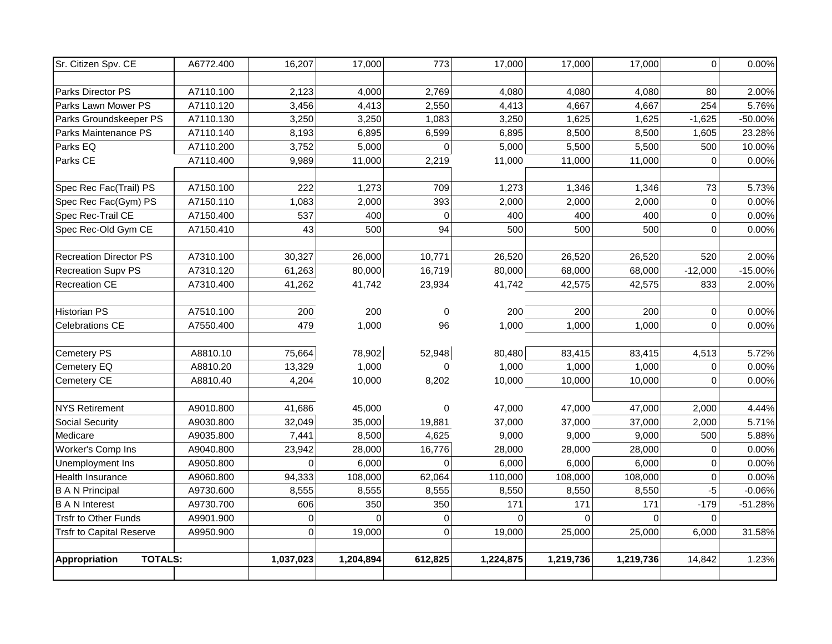| Sr. Citizen Spv. CE                    | A6772.400 | 16,207         | 17,000    | 773         | 17,000    | 17,000         | 17,000    | $\mathbf 0$ | 0.00%     |
|----------------------------------------|-----------|----------------|-----------|-------------|-----------|----------------|-----------|-------------|-----------|
|                                        |           |                |           |             |           |                |           |             |           |
| Parks Director PS                      | A7110.100 | 2,123          | 4,000     | 2,769       | 4,080     | 4,080          | 4,080     | 80          | 2.00%     |
| Parks Lawn Mower PS                    | A7110.120 | 3,456          | 4,413     | 2,550       | 4,413     | 4,667          | 4,667     | 254         | 5.76%     |
| Parks Groundskeeper PS                 | A7110.130 | 3,250          | 3,250     | 1,083       | 3,250     | 1,625          | 1,625     | $-1,625$    | -50.00%   |
| Parks Maintenance PS                   | A7110.140 | 8,193          | 6,895     | 6,599       | 6,895     | 8,500          | 8,500     | 1,605       | 23.28%    |
| Parks EQ                               | A7110.200 | 3,752          | 5,000     | $\mathbf 0$ | 5,000     | 5,500          | 5,500     | 500         | 10.00%    |
| Parks CE                               | A7110.400 | 9,989          | 11,000    | 2,219       | 11,000    | 11,000         | 11,000    | 0           | 0.00%     |
|                                        |           |                |           |             |           |                |           |             |           |
| Spec Rec Fac(Trail) PS                 | A7150.100 | 222            | 1,273     | 709         | 1,273     | 1,346          | 1,346     | 73          | 5.73%     |
| Spec Rec Fac(Gym) PS                   | A7150.110 | 1,083          | 2,000     | 393         | 2,000     | 2,000          | 2,000     | 0           | 0.00%     |
| Spec Rec-Trail CE                      | A7150.400 | 537            | 400       | $\Omega$    | 400       | 400            | 400       | 0           | 0.00%     |
| Spec Rec-Old Gym CE                    | A7150.410 | 43             | 500       | 94          | 500       | 500            | 500       | 0           | 0.00%     |
|                                        |           |                |           |             |           |                |           |             |           |
| <b>Recreation Director PS</b>          | A7310.100 | 30,327         | 26,000    | 10,771      | 26,520    | 26,520         | 26,520    | 520         | 2.00%     |
| <b>Recreation Supv PS</b>              | A7310.120 | 61,263         | 80,000    | 16,719      | 80,000    | 68,000         | 68,000    | $-12,000$   | $-15.00%$ |
| <b>Recreation CE</b>                   | A7310.400 | 41,262         | 41,742    | 23,934      | 41,742    | 42,575         | 42,575    | 833         | 2.00%     |
|                                        |           |                |           |             |           |                |           |             |           |
| <b>Historian PS</b>                    | A7510.100 | 200            | 200       | 0           | 200       | 200            | 200       | 0           | 0.00%     |
| <b>Celebrations CE</b>                 | A7550.400 | 479            | 1,000     | 96          | 1,000     | 1,000          | 1,000     | 0           | 0.00%     |
|                                        |           |                |           |             |           |                |           |             |           |
| <b>Cemetery PS</b>                     | A8810.10  | 75,664         | 78,902    | 52,948      | 80,480    | 83,415         | 83,415    | 4,513       | 5.72%     |
| Cemetery EQ                            | A8810.20  | 13,329         | 1,000     | $\Omega$    | 1,000     | 1,000          | 1,000     | 0           | 0.00%     |
| Cemetery CE                            | A8810.40  | 4,204          | 10,000    | 8,202       | 10,000    | 10,000         | 10,000    | 0           | 0.00%     |
|                                        |           |                |           |             |           |                |           |             |           |
| <b>NYS Retirement</b>                  | A9010.800 | 41,686         | 45,000    | 0           | 47,000    | 47,000         | 47,000    | 2,000       | 4.44%     |
| Social Security                        | A9030.800 | 32,049         | 35,000    | 19,881      | 37,000    | 37,000         | 37,000    | 2,000       | 5.71%     |
| Medicare                               | A9035.800 | 7,441          | 8,500     | 4,625       | 9,000     | 9,000          | 9,000     | 500         | 5.88%     |
| Worker's Comp Ins                      | A9040.800 | 23,942         | 28,000    | 16,776      | 28,000    | 28,000         | 28,000    | $\mathbf 0$ | 0.00%     |
| Unemployment Ins                       | A9050.800 | $\overline{0}$ | 6,000     | $\mathbf 0$ | 6,000     | 6,000          | 6,000     | 0           | 0.00%     |
| Health Insurance                       | A9060.800 | 94,333         | 108,000   | 62,064      | 110,000   | 108,000        | 108,000   | 0           | 0.00%     |
| <b>B A N Principal</b>                 | A9730.600 | 8,555          | 8,555     | 8,555       | 8,550     | 8,550          | 8,550     | $-5$        | $-0.06%$  |
| <b>B A N Interest</b>                  | A9730.700 | 606            | 350       | 350         | 171       | 171            | 171       | $-179$      | $-51.28%$ |
| <b>Trsfr to Other Funds</b>            | A9901.900 | $\overline{0}$ | $\Omega$  | $\mathbf 0$ | $\Omega$  | $\overline{0}$ | $\Omega$  | $\Omega$    |           |
| <b>Trsfr to Capital Reserve</b>        | A9950.900 | $\overline{0}$ | 19,000    | $\mathbf 0$ | 19,000    | 25,000         | 25,000    | 6,000       | 31.58%    |
|                                        |           |                |           |             |           |                |           |             |           |
| <b>TOTALS:</b><br><b>Appropriation</b> |           | 1,037,023      | 1,204,894 | 612,825     | 1,224,875 | 1,219,736      | 1,219,736 | 14,842      | 1.23%     |
|                                        |           |                |           |             |           |                |           |             |           |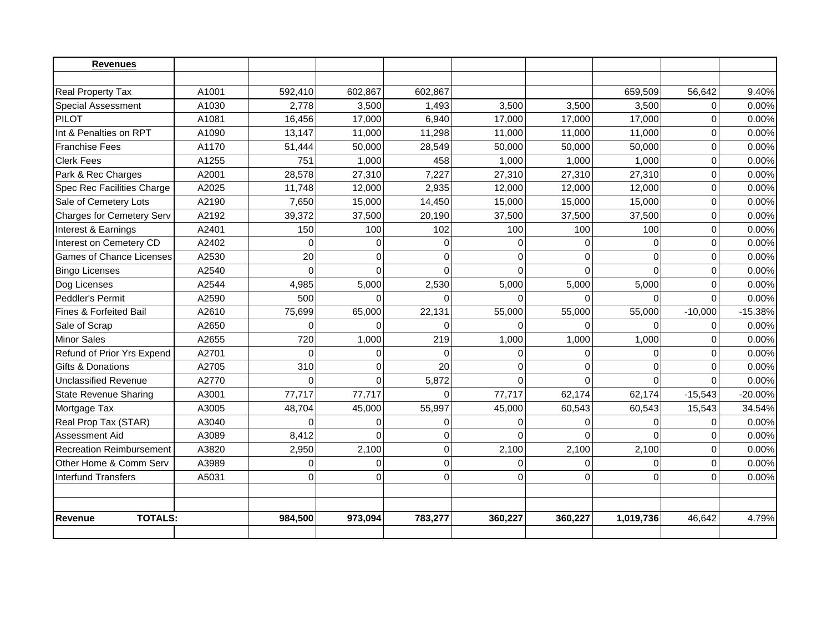| <b>Revenues</b>                   |       |          |             |             |             |          |             |                |           |
|-----------------------------------|-------|----------|-------------|-------------|-------------|----------|-------------|----------------|-----------|
|                                   |       |          |             |             |             |          |             |                |           |
| Real Property Tax                 | A1001 | 592,410  | 602,867     | 602,867     |             |          | 659,509     | 56,642         | 9.40%     |
| <b>Special Assessment</b>         | A1030 | 2,778    | 3,500       | 1,493       | 3,500       | 3,500    | 3,500       | $\Omega$       | 0.00%     |
| PILOT                             | A1081 | 16,456   | 17,000      | 6,940       | 17,000      | 17,000   | 17,000      | $\overline{0}$ | 0.00%     |
| Int & Penalties on RPT            | A1090 | 13,147   | 11,000      | 11,298      | 11,000      | 11,000   | 11,000      | 0              | 0.00%     |
| <b>Franchise Fees</b>             | A1170 | 51,444   | 50,000      | 28,549      | 50,000      | 50,000   | 50.000      | $\Omega$       | 0.00%     |
| <b>Clerk Fees</b>                 | A1255 | 751      | 1,000       | 458         | 1,000       | 1,000    | 1,000       | $\mathbf 0$    | 0.00%     |
| Park & Rec Charges                | A2001 | 28,578   | 27,310      | 7,227       | 27,310      | 27,310   | 27,310      | $\mathbf 0$    | 0.00%     |
| Spec Rec Facilities Charge        | A2025 | 11,748   | 12,000      | 2,935       | 12,000      | 12,000   | 12,000      | $\mathbf 0$    | 0.00%     |
| Sale of Cemetery Lots             | A2190 | 7,650    | 15,000      | 14,450      | 15,000      | 15,000   | 15,000      | 0              | 0.00%     |
| <b>Charges for Cemetery Serv</b>  | A2192 | 39,372   | 37,500      | 20,190      | 37,500      | 37,500   | 37,500      | $\mathbf 0$    | 0.00%     |
| Interest & Earnings               | A2401 | 150      | 100         | 102         | 100         | 100      | 100         | $\mathbf 0$    | 0.00%     |
| Interest on Cemetery CD           | A2402 | $\Omega$ | $\Omega$    | 0           | $\Omega$    | $\Omega$ | $\Omega$    | $\Omega$       | 0.00%     |
| Games of Chance Licenses          | A2530 | 20       | $\Omega$    | $\Omega$    | $\Omega$    | $\Omega$ | $\Omega$    | $\overline{0}$ | 0.00%     |
| <b>Bingo Licenses</b>             | A2540 | $\Omega$ | $\Omega$    | $\Omega$    | $\Omega$    | $\Omega$ | $\Omega$    | $\overline{0}$ | 0.00%     |
| Dog Licenses                      | A2544 | 4,985    | 5,000       | 2,530       | 5,000       | 5,000    | 5,000       | 0              | 0.00%     |
| Peddler's Permit                  | A2590 | 500      | $\Omega$    | $\Omega$    | $\Omega$    | $\Omega$ | $\Omega$    | $\Omega$       | 0.00%     |
| <b>Fines &amp; Forfeited Bail</b> | A2610 | 75,699   | 65,000      | 22,131      | 55,000      | 55,000   | 55,000      | $-10,000$      | $-15.38%$ |
| Sale of Scrap                     | A2650 | $\Omega$ | $\Omega$    | $\Omega$    | $\Omega$    | $\Omega$ | $\Omega$    | 0              | 0.00%     |
| <b>Minor Sales</b>                | A2655 | 720      | 1,000       | 219         | 1,000       | 1,000    | 1,000       | $\Omega$       | 0.00%     |
| Refund of Prior Yrs Expend        | A2701 | $\Omega$ | $\Omega$    | $\Omega$    | $\Omega$    | $\Omega$ | $\Omega$    | $\Omega$       | 0.00%     |
| <b>Gifts &amp; Donations</b>      | A2705 | 310      | $\mathbf 0$ | 20          | $\mathbf 0$ | $\Omega$ | $\Omega$    | $\overline{0}$ | 0.00%     |
| Unclassified Revenue              | A2770 | $\Omega$ | $\mathbf 0$ | 5,872       | $\Omega$    | $\Omega$ | $\Omega$    | 0              | 0.00%     |
| <b>State Revenue Sharing</b>      | A3001 | 77,717   | 77,717      | $\Omega$    | 77,717      | 62,174   | 62,174      | $-15,543$      | -20.00%   |
| Mortgage Tax                      | A3005 | 48,704   | 45,000      | 55,997      | 45,000      | 60,543   | 60,543      | 15,543         | 34.54%    |
| Real Prop Tax (STAR)              | A3040 | $\Omega$ | $\Omega$    | 0           | $\mathbf 0$ | $\Omega$ | $\mathbf 0$ | $\overline{0}$ | 0.00%     |
| Assessment Aid                    | A3089 | 8,412    | $\Omega$    | $\Omega$    | $\Omega$    | $\Omega$ | $\Omega$    | $\Omega$       | 0.00%     |
| <b>Recreation Reimbursement</b>   | A3820 | 2,950    | 2,100       | $\mathbf 0$ | 2,100       | 2,100    | 2,100       | $\Omega$       | 0.00%     |
| Other Home & Comm Serv            | A3989 | $\Omega$ | $\Omega$    | $\mathbf 0$ | $\Omega$    | $\Omega$ | $\Omega$    | $\overline{0}$ | 0.00%     |
| Interfund Transfers               | A5031 | 0        | $\Omega$    | $\mathbf 0$ | $\Omega$    | $\Omega$ | $\Omega$    | $\overline{0}$ | 0.00%     |
|                                   |       |          |             |             |             |          |             |                |           |
| <b>TOTALS:</b><br>Revenue         |       | 984,500  | 973,094     | 783,277     | 360,227     | 360,227  | 1,019,736   | 46,642         | 4.79%     |
|                                   |       |          |             |             |             |          |             |                |           |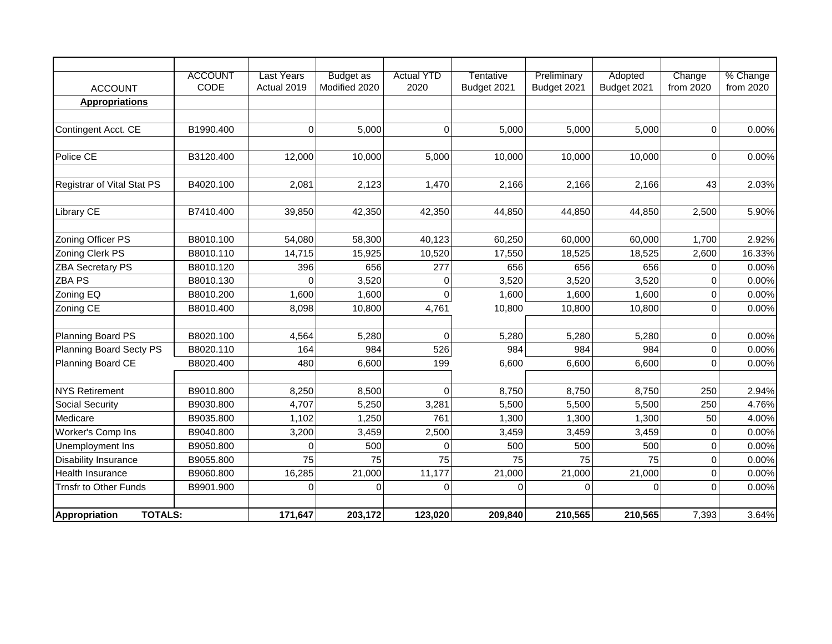|                                        | <b>ACCOUNT</b> | <b>Last Years</b> | <b>Budget as</b> | <b>Actual YTD</b> | <b>Tentative</b> | Preliminary | Adopted     | Change              | % Change  |
|----------------------------------------|----------------|-------------------|------------------|-------------------|------------------|-------------|-------------|---------------------|-----------|
| <b>ACCOUNT</b>                         | CODE           | Actual 2019       | Modified 2020    | 2020              | Budget 2021      | Budget 2021 | Budget 2021 | from 2020           | from 2020 |
| <b>Appropriations</b>                  |                |                   |                  |                   |                  |             |             |                     |           |
|                                        |                |                   |                  |                   |                  |             |             |                     |           |
| Contingent Acct. CE                    | B1990.400      | 0                 | 5,000            | $\mathbf 0$       | 5,000            | 5,000       | 5,000       | $\mathbf 0$         | 0.00%     |
|                                        |                |                   |                  |                   |                  |             |             |                     |           |
| Police CE                              | B3120.400      | 12,000            | 10,000           | 5,000             | 10,000           | 10,000      | 10,000      | $\mathbf{0}$        | 0.00%     |
|                                        |                |                   |                  |                   |                  |             |             |                     |           |
| Registrar of Vital Stat PS             | B4020.100      | 2,081             | 2,123            | 1,470             | 2,166            | 2,166       | 2,166       | 43                  | 2.03%     |
|                                        |                |                   |                  |                   |                  |             |             |                     |           |
| <b>Library CE</b>                      | B7410.400      | 39,850            | 42,350           | 42,350            | 44,850           | 44,850      | 44,850      | 2,500               | 5.90%     |
|                                        |                |                   |                  |                   |                  |             |             |                     |           |
| Zoning Officer PS                      | B8010.100      | 54,080            | 58,300           | 40,123            | 60,250           | 60,000      | 60,000      | 1,700               | 2.92%     |
| Zoning Clerk PS                        | B8010.110      | 14,715            | 15,925           | 10,520            | 17,550           | 18,525      | 18,525      | 2,600               | 16.33%    |
| <b>ZBA Secretary PS</b>                | B8010.120      | 396               | 656              | 277               | 656              | 656         | 656         | $\pmb{0}$           | 0.00%     |
| <b>ZBA PS</b>                          | B8010.130      | 0                 | 3,520            | 0                 | 3,520            | 3,520       | 3,520       | 0                   | 0.00%     |
| Zoning EQ                              | B8010.200      | 1,600             | 1,600            | 0                 | 1,600            | 1,600       | 1,600       | $\pmb{0}$           | 0.00%     |
| Zoning CE                              | B8010.400      | 8,098             | 10,800           | 4,761             | 10,800           | 10,800      | 10,800      | $\mathbf 0$         | 0.00%     |
|                                        |                |                   |                  |                   |                  |             |             |                     |           |
| Planning Board PS                      | B8020.100      | 4,564             | 5,280            | 0                 | 5,280            | 5,280       | 5,280       | $\mathsf 0$         | 0.00%     |
| Planning Board Secty PS                | B8020.110      | 164               | 984              | 526               | 984              | 984         | 984         | $\mathbf 0$         | 0.00%     |
| Planning Board CE                      | B8020.400      | 480               | 6,600            | 199               | 6,600            | 6,600       | 6,600       | $\Omega$            | 0.00%     |
|                                        |                |                   |                  |                   |                  |             |             |                     |           |
| <b>NYS Retirement</b>                  | B9010.800      | 8,250             | 8,500            | $\Omega$          | 8,750            | 8,750       | 8,750       | 250                 | 2.94%     |
| Social Security                        | B9030.800      | 4,707             | 5,250            | 3,281             | 5,500            | 5,500       | 5,500       | 250                 | 4.76%     |
| Medicare                               | B9035.800      | 1,102             | 1,250            | 761               | 1,300            | 1,300       | 1,300       | 50                  | 4.00%     |
| Worker's Comp Ins                      | B9040.800      | 3,200             | 3,459            | 2,500             | 3,459            | 3,459       | 3,459       | $\pmb{0}$           | 0.00%     |
| Unemployment Ins                       | B9050.800      | $\Omega$          | 500              | $\Omega$          | 500              | 500         | 500         | $\mathbf 0$         | 0.00%     |
| <b>Disability Insurance</b>            | B9055.800      | 75                | 75               | 75                | 75               | 75          | 75          | $\mathsf{O}\xspace$ | 0.00%     |
| <b>Health Insurance</b>                | B9060.800      | 16,285            | 21,000           | 11,177            | 21,000           | 21,000      | 21,000      | $\pmb{0}$           | 0.00%     |
| Trnsfr to Other Funds                  | B9901.900      | $\mathbf 0$       | $\mathbf 0$      | $\overline{0}$    | $\overline{0}$   | 0           | 0           | $\mathbf 0$         | 0.00%     |
|                                        |                |                   |                  |                   |                  |             |             |                     |           |
| <b>TOTALS:</b><br><b>Appropriation</b> |                | 171,647           | 203,172          | 123,020           | 209,840          | 210,565     | 210,565     | 7,393               | 3.64%     |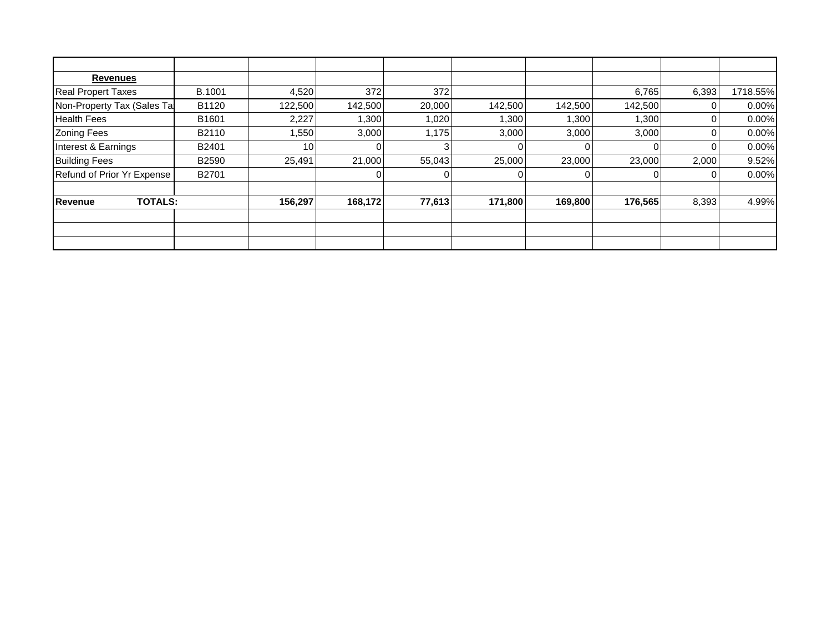| <b>Revenues</b>                  |               |         |         |        |         |         |         |       |          |
|----------------------------------|---------------|---------|---------|--------|---------|---------|---------|-------|----------|
| <b>Real Propert Taxes</b>        | <b>B.1001</b> | 4,520   | 372     | 372    |         |         | 6,765   | 6,393 | 1718.55% |
| Non-Property Tax (Sales Tal      | B1120         | 122,500 | 142,500 | 20,000 | 142,500 | 142,500 | 142,500 |       | 0.00%    |
| <b>Health Fees</b>               | B1601         | 2,227   | 1,300   | 1,020  | 1,300   | 1,300   | 1,300   |       | 0.00%    |
| <b>Zoning Fees</b>               | B2110         | 1,550   | 3,000   | 1,175  | 3,000   | 3,000   | 3,000   |       | 0.00%    |
| Interest & Earnings              | B2401         | 10      |         |        |         |         |         |       | 0.00%    |
| <b>Building Fees</b>             | B2590         | 25,491  | 21,000  | 55,043 | 25,000  | 23,000  | 23,000  | 2,000 | 9.52%    |
| Refund of Prior Yr Expense       | B2701         |         |         | 0      |         |         |         | 0     | 0.00%    |
|                                  |               |         |         |        |         |         |         |       |          |
| <b>TOTALS:</b><br><b>Revenue</b> |               | 156,297 | 168,172 | 77,613 | 171,800 | 169,800 | 176,565 | 8,393 | 4.99%    |
|                                  |               |         |         |        |         |         |         |       |          |
|                                  |               |         |         |        |         |         |         |       |          |
|                                  |               |         |         |        |         |         |         |       |          |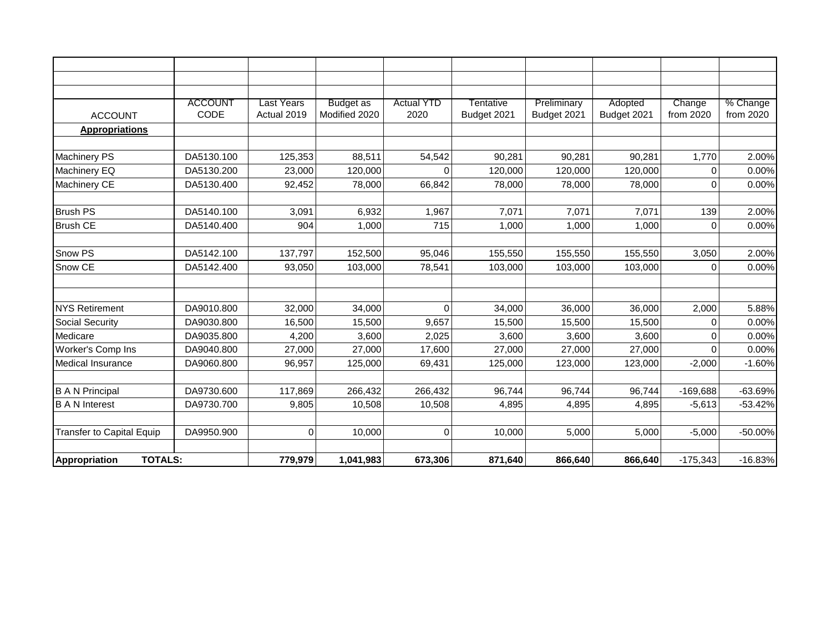|                                        | <b>ACCOUNT</b> | Last Years  | <b>Budget as</b> | <b>Actual YTD</b> | Tentative   | Preliminary | Adopted     | Change      | % Change  |
|----------------------------------------|----------------|-------------|------------------|-------------------|-------------|-------------|-------------|-------------|-----------|
| <b>ACCOUNT</b>                         | CODE           | Actual 2019 | Modified 2020    | 2020              | Budget 2021 | Budget 2021 | Budget 2021 | from 2020   | from 2020 |
| <b>Appropriations</b>                  |                |             |                  |                   |             |             |             |             |           |
|                                        |                |             |                  |                   |             |             |             |             |           |
| <b>Machinery PS</b>                    | DA5130.100     | 125,353     | 88,511           | 54,542            | 90,281      | 90,281      | 90,281      | 1,770       | 2.00%     |
| Machinery EQ                           | DA5130.200     | 23,000      | 120,000          | $\Omega$          | 120,000     | 120,000     | 120,000     | 0           | 0.00%     |
| Machinery CE                           | DA5130.400     | 92,452      | 78,000           | 66,842            | 78,000      | 78,000      | 78,000      | 0           | 0.00%     |
|                                        |                |             |                  |                   |             |             |             |             |           |
| <b>Brush PS</b>                        | DA5140.100     | 3,091       | 6,932            | 1,967             | 7,071       | 7,071       | 7,071       | 139         | 2.00%     |
| <b>Brush CE</b>                        | DA5140.400     | 904         | 1,000            | 715               | 1,000       | 1,000       | 1,000       | $\mathbf 0$ | 0.00%     |
|                                        |                |             |                  |                   |             |             |             |             |           |
| Snow PS                                | DA5142.100     | 137,797     | 152,500          | 95,046            | 155,550     | 155,550     | 155,550     | 3,050       | 2.00%     |
| Snow CE                                | DA5142.400     | 93,050      | 103,000          | 78,541            | 103,000     | 103,000     | 103,000     | 0           | 0.00%     |
|                                        |                |             |                  |                   |             |             |             |             |           |
|                                        |                |             |                  |                   |             |             |             |             |           |
| <b>NYS Retirement</b>                  | DA9010.800     | 32,000      | 34,000           | $\Omega$          | 34,000      | 36,000      | 36,000      | 2,000       | 5.88%     |
| <b>Social Security</b>                 | DA9030.800     | 16,500      | 15,500           | 9,657             | 15,500      | 15,500      | 15,500      | 0           | 0.00%     |
| Medicare                               | DA9035.800     | 4,200       | 3,600            | 2,025             | 3,600       | 3,600       | 3,600       | $\mathbf 0$ | 0.00%     |
| Worker's Comp Ins                      | DA9040.800     | 27,000      | 27,000           | 17,600            | 27,000      | 27,000      | 27,000      | $\Omega$    | 0.00%     |
| <b>Medical Insurance</b>               | DA9060.800     | 96,957      | 125,000          | 69,431            | 125,000     | 123,000     | 123,000     | $-2,000$    | $-1.60%$  |
|                                        |                |             |                  |                   |             |             |             |             |           |
| <b>B A N Principal</b>                 | DA9730.600     | 117,869     | 266,432          | 266,432           | 96,744      | 96,744      | 96,744      | $-169,688$  | $-63.69%$ |
| <b>B A N Interest</b>                  | DA9730.700     | 9,805       | 10,508           | 10,508            | 4,895       | 4,895       | 4,895       | $-5,613$    | $-53.42%$ |
|                                        |                |             |                  |                   |             |             |             |             |           |
| <b>Transfer to Capital Equip</b>       | DA9950.900     | $\mathbf 0$ | 10,000           | 0                 | 10,000      | 5,000       | 5,000       | $-5,000$    | -50.00%   |
|                                        |                |             |                  |                   |             |             |             |             |           |
| <b>TOTALS:</b><br><b>Appropriation</b> |                | 779,979     | 1,041,983        | 673,306           | 871,640     | 866,640     | 866,640     | $-175,343$  | $-16.83%$ |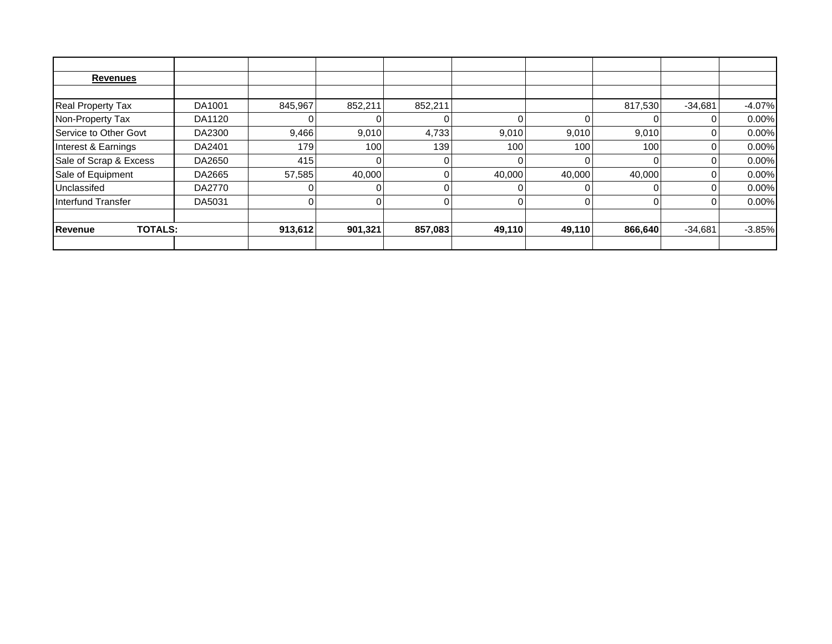| <b>Revenues</b>                  |        |         |         |         |        |        |          |           |          |
|----------------------------------|--------|---------|---------|---------|--------|--------|----------|-----------|----------|
|                                  |        |         |         |         |        |        |          |           |          |
| Real Property Tax                | DA1001 | 845,967 | 852,211 | 852,211 |        |        | 817,530  | $-34,681$ | $-4.07%$ |
| Non-Property Tax                 | DA1120 |         |         |         |        |        |          | 0         | 0.00%    |
| Service to Other Govt            | DA2300 | 9,466   | 9,010   | 4,733   | 9,010  | 9,010  | 9,010    | 0         | 0.00%    |
| Interest & Earnings              | DA2401 | 179     | 100     | 139     | 100    | 100    | 100      | 0         | 0.00%    |
| Sale of Scrap & Excess           | DA2650 | 415     |         |         |        |        |          | 0         | 0.00%    |
| Sale of Equipment                | DA2665 | 57,585  | 40,000  |         | 40,000 | 40,000 | 40,000   | 0         | 0.00%    |
| Unclassifed                      | DA2770 |         |         |         |        |        |          | 0         | 0.00%    |
| Interfund Transfer               | DA5031 | 0       |         |         |        |        | $\Omega$ | 0         | 0.00%    |
|                                  |        |         |         |         |        |        |          |           |          |
| <b>TOTALS:</b><br><b>Revenue</b> |        | 913,612 | 901,321 | 857,083 | 49,110 | 49,110 | 866,640  | $-34,681$ | $-3.85%$ |
|                                  |        |         |         |         |        |        |          |           |          |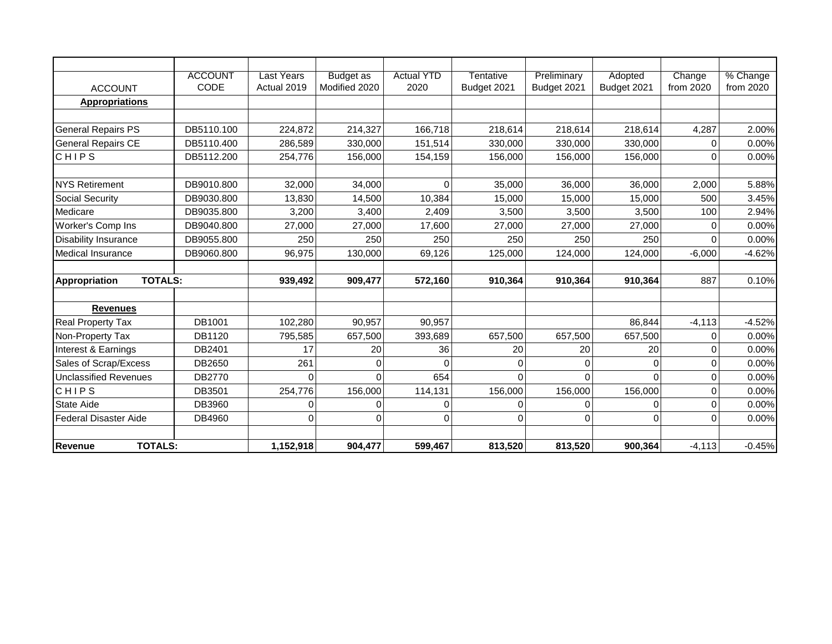|                                  | <b>ACCOUNT</b> | Last Years  | <b>Budget as</b> | <b>Actual YTD</b> | Tentative   | Preliminary | Adopted     | Change      | % Change  |
|----------------------------------|----------------|-------------|------------------|-------------------|-------------|-------------|-------------|-------------|-----------|
| <b>ACCOUNT</b>                   | CODE           | Actual 2019 | Modified 2020    | 2020              | Budget 2021 | Budget 2021 | Budget 2021 | from 2020   | from 2020 |
| <b>Appropriations</b>            |                |             |                  |                   |             |             |             |             |           |
|                                  |                |             |                  |                   |             |             |             |             |           |
| <b>General Repairs PS</b>        | DB5110.100     | 224,872     | 214,327          | 166,718           | 218,614     | 218,614     | 218,614     | 4,287       | 2.00%     |
| <b>General Repairs CE</b>        | DB5110.400     | 286,589     | 330,000          | 151,514           | 330,000     | 330,000     | 330,000     | 0           | 0.00%     |
| CHIPS                            | DB5112.200     | 254,776     | 156,000          | 154,159           | 156,000     | 156,000     | 156,000     | $\mathbf 0$ | 0.00%     |
|                                  |                |             |                  |                   |             |             |             |             |           |
| <b>NYS Retirement</b>            | DB9010.800     | 32,000      | 34,000           | $\Omega$          | 35,000      | 36,000      | 36,000      | 2,000       | 5.88%     |
| <b>Social Security</b>           | DB9030.800     | 13,830      | 14,500           | 10,384            | 15,000      | 15,000      | 15,000      | 500         | 3.45%     |
| Medicare                         | DB9035.800     | 3,200       | 3,400            | 2,409             | 3,500       | 3,500       | 3,500       | 100         | 2.94%     |
| Worker's Comp Ins                | DB9040.800     | 27,000      | 27,000           | 17,600            | 27,000      | 27,000      | 27,000      | 0           | 0.00%     |
| <b>Disability Insurance</b>      | DB9055.800     | 250         | 250              | 250               | 250         | 250         | 250         | $\Omega$    | 0.00%     |
| <b>Medical Insurance</b>         | DB9060.800     | 96,975      | 130,000          | 69,126            | 125,000     | 124,000     | 124,000     | $-6,000$    | $-4.62%$  |
|                                  |                |             |                  |                   |             |             |             |             |           |
| <b>Appropriation</b>             | <b>TOTALS:</b> | 939,492     | 909,477          | 572,160           | 910,364     | 910,364     | 910,364     | 887         | 0.10%     |
|                                  |                |             |                  |                   |             |             |             |             |           |
| <b>Revenues</b>                  |                |             |                  |                   |             |             |             |             |           |
| <b>Real Property Tax</b>         | DB1001         | 102,280     | 90,957           | 90,957            |             |             | 86,844      | $-4, 113$   | $-4.52%$  |
| Non-Property Tax                 | DB1120         | 795,585     | 657,500          | 393,689           | 657,500     | 657,500     | 657,500     | 0           | 0.00%     |
| Interest & Earnings              | DB2401         | 17          | 20               | 36                | 20          | 20          | 20          | 0           | 0.00%     |
| Sales of Scrap/Excess            | DB2650         | 261         | $\mathbf 0$      | $\Omega$          | $\mathbf 0$ | $\mathbf 0$ | $\mathbf 0$ | 0           | 0.00%     |
| <b>Unclassified Revenues</b>     | DB2770         | $\Omega$    | $\Omega$         | 654               | $\Omega$    | $\Omega$    | $\Omega$    | $\mathbf 0$ | 0.00%     |
| CHIPS                            | DB3501         | 254,776     | 156,000          | 114,131           | 156,000     | 156,000     | 156,000     | 0           | 0.00%     |
| <b>State Aide</b>                | DB3960         | 0           | 0                | 0                 | 0           | 0           | $\mathbf 0$ | 0           | 0.00%     |
| <b>Federal Disaster Aide</b>     | DB4960         | $\Omega$    | $\Omega$         | $\Omega$          | $\Omega$    | $\Omega$    | $\Omega$    | $\Omega$    | 0.00%     |
|                                  |                |             |                  |                   |             |             |             |             |           |
| <b>Revenue</b><br><b>TOTALS:</b> |                | 1,152,918   | 904,477          | 599,467           | 813,520     | 813,520     | 900,364     | $-4, 113$   | $-0.45%$  |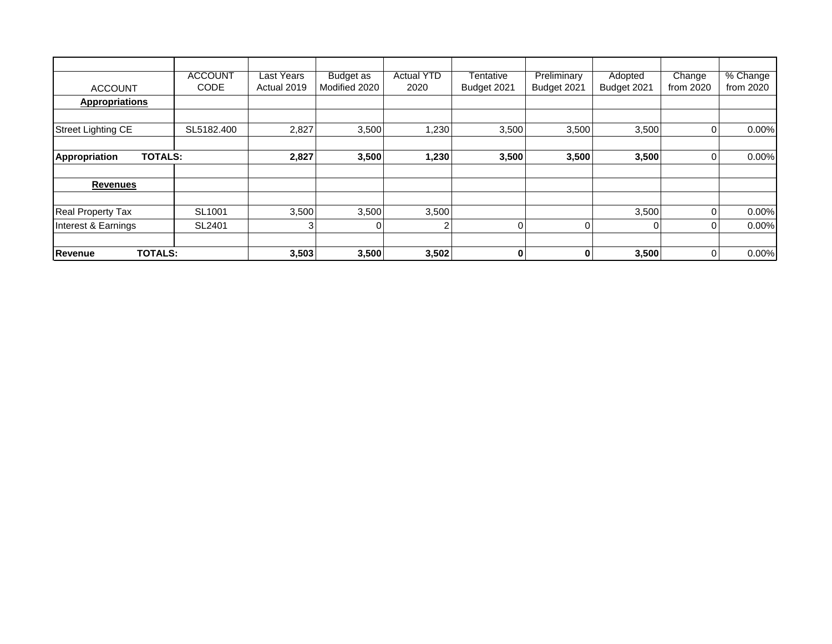| <b>ACCOUNT</b>                   | <b>ACCOUNT</b><br>CODE | <b>Last Years</b><br>Actual 2019 | Budget as<br>Modified 2020 | <b>Actual YTD</b><br>2020 | Tentative<br>Budget 2021 | Preliminary<br>Budget 2021 | Adopted<br>Budget 2021 | Change<br>from 2020 | % Change<br>from 2020 |
|----------------------------------|------------------------|----------------------------------|----------------------------|---------------------------|--------------------------|----------------------------|------------------------|---------------------|-----------------------|
| <b>Appropriations</b>            |                        |                                  |                            |                           |                          |                            |                        |                     |                       |
|                                  |                        |                                  |                            |                           |                          |                            |                        |                     |                       |
| <b>Street Lighting CE</b>        | SL5182.400             | 2,827                            | 3,500                      | 1,230                     | 3,500                    | 3,500                      | 3,500                  | 0                   | 0.00%                 |
|                                  |                        |                                  |                            |                           |                          |                            |                        |                     |                       |
| <b>TOTALS:</b><br>Appropriation  |                        | 2,827                            | 3,500                      | 1,230                     | 3,500                    | 3,500                      | 3,500                  | 0                   | 0.00%                 |
| <b>Revenues</b>                  |                        |                                  |                            |                           |                          |                            |                        |                     |                       |
| <b>Real Property Tax</b>         | SL1001                 | 3,500                            | 3,500                      | 3,500                     |                          |                            | 3,500                  | 0                   | 0.00%                 |
| Interest & Earnings              | SL2401                 | 3                                |                            | $\overline{2}$            | $\Omega$                 |                            | $\Omega$               | 0                   | 0.00%                 |
|                                  |                        |                                  |                            |                           |                          |                            |                        |                     |                       |
| <b>TOTALS:</b><br><b>Revenue</b> |                        | 3,503                            | 3,500                      | 3,502                     | 0                        | 0                          | 3,500                  | $\mathbf 0$         | 0.00%                 |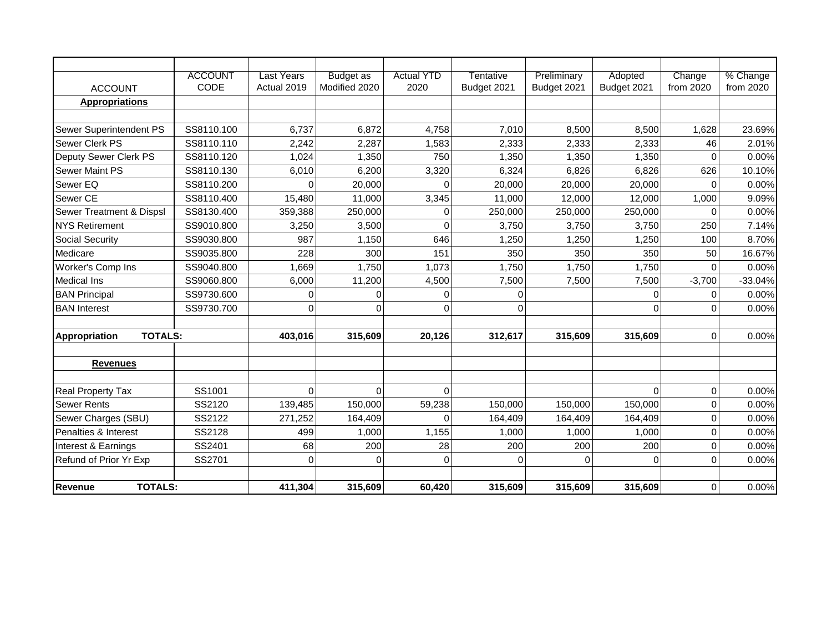|                                 | <b>ACCOUNT</b> | <b>Last Years</b> | <b>Budget</b> as | <b>Actual YTD</b> | Tentative   | Preliminary | Adopted     | Change      | % Change  |
|---------------------------------|----------------|-------------------|------------------|-------------------|-------------|-------------|-------------|-------------|-----------|
| <b>ACCOUNT</b>                  | CODE           | Actual 2019       | Modified 2020    | 2020              | Budget 2021 | Budget 2021 | Budget 2021 | from 2020   | from 2020 |
| <b>Appropriations</b>           |                |                   |                  |                   |             |             |             |             |           |
|                                 |                |                   |                  |                   |             |             |             |             |           |
| Sewer Superintendent PS         | SS8110.100     | 6,737             | 6,872            | 4,758             | 7,010       | 8,500       | 8,500       | 1,628       | 23.69%    |
| Sewer Clerk PS                  | SS8110.110     | 2,242             | 2,287            | 1,583             | 2,333       | 2,333       | 2,333       | 46          | 2.01%     |
| Deputy Sewer Clerk PS           | SS8110.120     | 1,024             | 1,350            | 750               | 1,350       | 1,350       | 1,350       | $\Omega$    | 0.00%     |
| <b>Sewer Maint PS</b>           | SS8110.130     | 6,010             | 6,200            | 3,320             | 6,324       | 6,826       | 6,826       | 626         | 10.10%    |
| Sewer EQ                        | SS8110.200     | 0                 | 20,000           | $\Omega$          | 20,000      | 20,000      | 20,000      | 0           | 0.00%     |
| Sewer CE                        | SS8110.400     | 15,480            | 11,000           | 3,345             | 11,000      | 12,000      | 12,000      | 1,000       | 9.09%     |
| Sewer Treatment & Dispsl        | SS8130.400     | 359,388           | 250,000          | 0                 | 250,000     | 250,000     | 250,000     | $\mathbf 0$ | 0.00%     |
| <b>NYS Retirement</b>           | SS9010.800     | 3,250             | 3,500            | $\Omega$          | 3,750       | 3,750       | 3,750       | 250         | 7.14%     |
| Social Security                 | SS9030.800     | 987               | 1,150            | 646               | 1,250       | 1,250       | 1,250       | 100         | 8.70%     |
| Medicare                        | SS9035.800     | 228               | 300              | 151               | 350         | 350         | 350         | 50          | 16.67%    |
| Worker's Comp Ins               | SS9040.800     | 1,669             | 1,750            | 1,073             | 1,750       | 1,750       | 1,750       | $\mathbf 0$ | 0.00%     |
| <b>Medical Ins</b>              | SS9060.800     | 6,000             | 11,200           | 4,500             | 7,500       | 7,500       | 7,500       | $-3,700$    | $-33.04%$ |
| <b>BAN Principal</b>            | SS9730.600     | $\mathbf 0$       | $\Omega$         | $\Omega$          | $\mathbf 0$ |             | $\mathbf 0$ | $\mathbf 0$ | 0.00%     |
| <b>BAN</b> Interest             | SS9730.700     | $\mathbf 0$       | $\Omega$         | 0                 | 0           |             | $\Omega$    | $\Omega$    | 0.00%     |
|                                 |                |                   |                  |                   |             |             |             |             |           |
| <b>TOTALS:</b><br>Appropriation |                | 403,016           | 315,609          | 20,126            | 312,617     | 315,609     | 315,609     | $\mathbf 0$ | 0.00%     |
|                                 |                |                   |                  |                   |             |             |             |             |           |
| <b>Revenues</b>                 |                |                   |                  |                   |             |             |             |             |           |
| <b>Real Property Tax</b>        | SS1001         | $\overline{0}$    | $\Omega$         | $\overline{0}$    |             |             | $\Omega$    | 0           | 0.00%     |
| <b>Sewer Rents</b>              | SS2120         | 139,485           | 150,000          | 59,238            | 150,000     | 150,000     | 150,000     | $\mathbf 0$ | 0.00%     |
| Sewer Charges (SBU)             | SS2122         | 271,252           | 164,409          | $\Omega$          | 164,409     | 164,409     | 164,409     | $\mathbf 0$ | 0.00%     |
| Penalties & Interest            | SS2128         | 499               | 1,000            | 1,155             | 1,000       | 1,000       | 1,000       | $\mathbf 0$ | 0.00%     |
| Interest & Earnings             | SS2401         | 68                | 200              | 28                | 200         | 200         | 200         | $\mathbf 0$ | 0.00%     |
| Refund of Prior Yr Exp          | SS2701         | $\mathbf 0$       | $\Omega$         | $\Omega$          | $\Omega$    | $\Omega$    | $\Omega$    | $\Omega$    | 0.00%     |
|                                 |                |                   |                  |                   |             |             |             |             |           |
| <b>TOTALS:</b><br>Revenue       |                | 411,304           | 315,609          | 60,420            | 315,609     | 315,609     | 315,609     | $\mathbf 0$ | 0.00%     |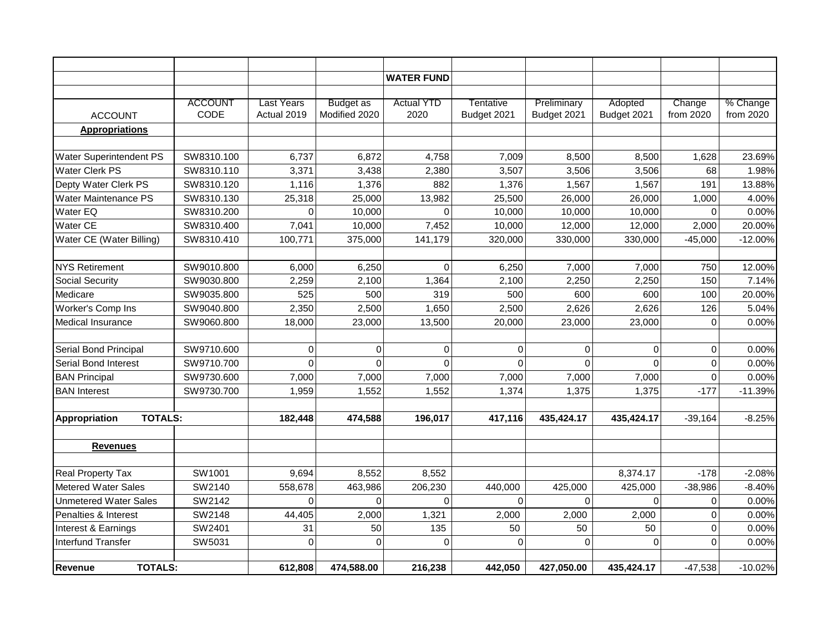|                                        |                |                   |                  | <b>WATER FUND</b> |             |                |             |             |           |
|----------------------------------------|----------------|-------------------|------------------|-------------------|-------------|----------------|-------------|-------------|-----------|
|                                        |                |                   |                  |                   |             |                |             |             |           |
|                                        | <b>ACCOUNT</b> | <b>Last Years</b> | <b>Budget as</b> | <b>Actual YTD</b> | Tentative   | Preliminary    | Adopted     | Change      | % Change  |
| <b>ACCOUNT</b>                         | CODE           | Actual 2019       | Modified 2020    | 2020              | Budget 2021 | Budget 2021    | Budget 2021 | from 2020   | from 2020 |
| <b>Appropriations</b>                  |                |                   |                  |                   |             |                |             |             |           |
|                                        |                |                   |                  |                   |             |                |             |             |           |
| <b>Water Superintendent PS</b>         | SW8310.100     | 6,737             | 6,872            | 4,758             | 7,009       | 8,500          | 8,500       | 1,628       | 23.69%    |
| <b>Water Clerk PS</b>                  | SW8310.110     | 3,371             | 3,438            | 2,380             | 3,507       | 3,506          | 3,506       | 68          | 1.98%     |
| Depty Water Clerk PS                   | SW8310.120     | 1,116             | 1,376            | 882               | 1,376       | 1,567          | 1,567       | 191         | 13.88%    |
| Water Maintenance PS                   | SW8310.130     | 25,318            | 25,000           | 13,982            | 25,500      | 26,000         | 26,000      | 1,000       | 4.00%     |
| Water EQ                               | SW8310.200     | 0                 | 10,000           | $\Omega$          | 10,000      | 10,000         | 10,000      | 0           | 0.00%     |
| <b>Water CE</b>                        | SW8310.400     | 7,041             | 10,000           | 7,452             | 10,000      | 12,000         | 12,000      | 2,000       | 20.00%    |
| Water CE (Water Billing)               | SW8310.410     | 100,771           | 375,000          | 141,179           | 320,000     | 330,000        | 330,000     | $-45,000$   | $-12.00%$ |
|                                        |                |                   |                  |                   |             |                |             |             |           |
| <b>NYS Retirement</b>                  | SW9010.800     | 6,000             | 6,250            | $\Omega$          | 6,250       | 7,000          | 7,000       | 750         | 12.00%    |
| <b>Social Security</b>                 | SW9030.800     | 2,259             | 2,100            | 1,364             | 2,100       | 2,250          | 2,250       | 150         | 7.14%     |
| Medicare                               | SW9035.800     | 525               | 500              | 319               | 500         | 600            | 600         | 100         | 20.00%    |
| Worker's Comp Ins                      | SW9040.800     | 2,350             | 2,500            | 1,650             | 2,500       | 2,626          | 2,626       | 126         | 5.04%     |
| Medical Insurance                      | SW9060.800     | 18,000            | 23,000           | 13,500            | 20,000      | 23,000         | 23,000      | $\mathbf 0$ | 0.00%     |
|                                        |                |                   |                  |                   |             |                |             |             |           |
| Serial Bond Principal                  | SW9710.600     | 0                 | 0                | 0                 | $\mathbf 0$ | $\overline{0}$ | $\mathbf 0$ | 0           | 0.00%     |
| <b>Serial Bond Interest</b>            | SW9710.700     | $\overline{0}$    | $\Omega$         | $\Omega$          | $\Omega$    | $\overline{0}$ | $\Omega$    | $\mathbf 0$ | 0.00%     |
| <b>BAN Principal</b>                   | SW9730.600     | 7,000             | 7,000            | 7,000             | 7,000       | 7,000          | 7,000       | 0           | 0.00%     |
| <b>BAN</b> Interest                    | SW9730.700     | 1,959             | 1,552            | 1,552             | 1,374       | 1,375          | 1,375       | $-177$      | $-11.39%$ |
|                                        |                |                   |                  |                   |             |                |             |             |           |
| <b>TOTALS:</b><br><b>Appropriation</b> |                | 182,448           | 474,588          | 196,017           | 417,116     | 435,424.17     | 435,424.17  | $-39,164$   | $-8.25%$  |
|                                        |                |                   |                  |                   |             |                |             |             |           |
| <b>Revenues</b>                        |                |                   |                  |                   |             |                |             |             |           |
|                                        |                |                   |                  |                   |             |                |             |             |           |
| <b>Real Property Tax</b>               | SW1001         | 9,694             | 8,552            | 8,552             |             |                | 8,374.17    | $-178$      | $-2.08%$  |
| <b>Metered Water Sales</b>             | SW2140         | 558,678           | 463,986          | 206,230           | 440,000     | 425,000        | 425,000     | $-38,986$   | $-8.40%$  |
| <b>Unmetered Water Sales</b>           | SW2142         | 0                 | 0                | $\mathbf 0$       | $\mathbf 0$ | $\overline{0}$ | $\mathbf 0$ | 0           | 0.00%     |
| Penalties & Interest                   | SW2148         | 44,405            | 2,000            | 1,321             | 2,000       | 2,000          | 2,000       | $\mathbf 0$ | 0.00%     |
| Interest & Earnings                    | SW2401         | 31                | 50               | 135               | 50          | 50             | 50          | 0           | 0.00%     |
| <b>Interfund Transfer</b>              | SW5031         | $\mathbf 0$       | $\mathbf 0$      | $\mathbf 0$       | $\mathbf 0$ | 0              | $\mathbf 0$ | $\mathbf 0$ | 0.00%     |
|                                        |                |                   |                  |                   |             |                |             |             |           |
| <b>TOTALS:</b><br>Revenue              |                | 612,808           | 474,588.00       | 216,238           | 442,050     | 427,050.00     | 435,424.17  | $-47,538$   | $-10.02%$ |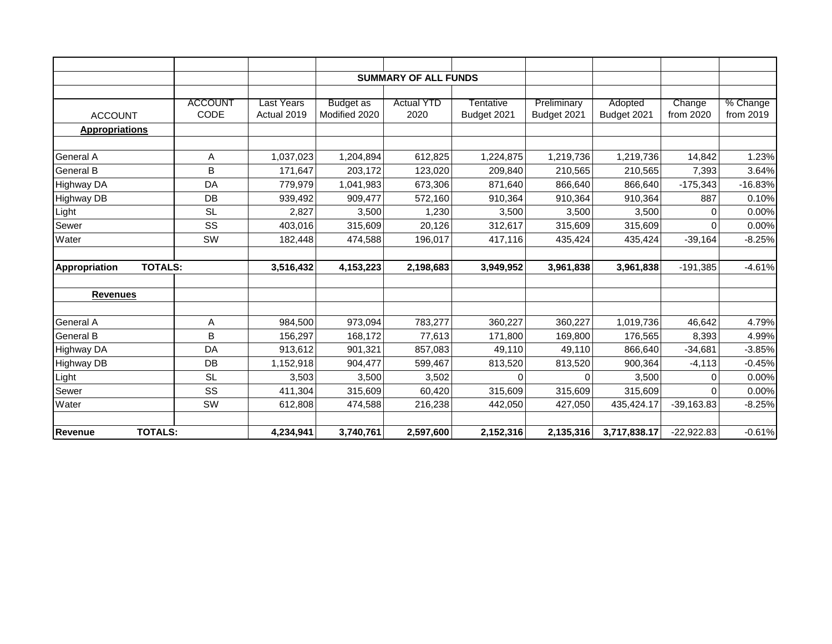|                       | <b>SUMMARY OF ALL FUNDS</b> |             |                  |                   |             |             |              |              |           |
|-----------------------|-----------------------------|-------------|------------------|-------------------|-------------|-------------|--------------|--------------|-----------|
|                       |                             |             |                  |                   |             |             |              |              |           |
|                       | <b>ACCOUNT</b>              | Last Years  | <b>Budget as</b> | <b>Actual YTD</b> | Tentative   | Preliminary | Adopted      | Change       | % Change  |
| <b>ACCOUNT</b>        | CODE                        | Actual 2019 | Modified 2020    | 2020              | Budget 2021 | Budget 2021 | Budget 2021  | from 2020    | from 2019 |
| <b>Appropriations</b> |                             |             |                  |                   |             |             |              |              |           |
|                       |                             |             |                  |                   |             |             |              |              |           |
| <b>General A</b>      | Α                           | 1,037,023   | 1,204,894        | 612,825           | 1,224,875   | 1,219,736   | 1,219,736    | 14,842       | 1.23%     |
| <b>General B</b>      | B                           | 171,647     | 203,172          | 123,020           | 209,840     | 210,565     | 210,565      | 7,393        | 3.64%     |
| <b>Highway DA</b>     | DA                          | 779,979     | 1,041,983        | 673,306           | 871,640     | 866,640     | 866,640      | $-175,343$   | $-16.83%$ |
| <b>Highway DB</b>     | DB                          | 939,492     | 909,477          | 572,160           | 910,364     | 910,364     | 910,364      | 887          | 0.10%     |
| Light                 | <b>SL</b>                   | 2,827       | 3,500            | 1,230             | 3,500       | 3,500       | 3,500        | 0            | 0.00%     |
| Sewer                 | SS                          | 403,016     | 315,609          | 20,126            | 312,617     | 315,609     | 315,609      | $\Omega$     | 0.00%     |
| Water                 | SW                          | 182,448     | 474,588          | 196,017           | 417,116     | 435,424     | 435,424      | $-39,164$    | $-8.25%$  |
| Appropriation         | <b>TOTALS:</b>              | 3,516,432   | 4,153,223        | 2,198,683         | 3,949,952   | 3,961,838   | 3,961,838    | $-191,385$   | $-4.61%$  |
| <b>Revenues</b>       |                             |             |                  |                   |             |             |              |              |           |
| <b>General A</b>      | Α                           | 984,500     | 973,094          | 783,277           | 360,227     | 360,227     | 1,019,736    | 46,642       | 4.79%     |
| <b>General B</b>      | B                           | 156,297     | 168,172          | 77,613            | 171,800     | 169,800     | 176,565      | 8,393        | 4.99%     |
| <b>Highway DA</b>     | DA                          | 913,612     | 901,321          | 857,083           | 49,110      | 49,110      | 866,640      | $-34,681$    | $-3.85%$  |
| <b>Highway DB</b>     | DB                          | 1,152,918   | 904,477          | 599,467           | 813,520     | 813,520     | 900,364      | $-4, 113$    | $-0.45%$  |
| Light                 | <b>SL</b>                   | 3,503       | 3,500            | 3,502             | $\Omega$    | $\Omega$    | 3,500        | $\Omega$     | 0.00%     |
| Sewer                 | SS                          | 411,304     | 315,609          | 60,420            | 315,609     | 315,609     | 315,609      | $\Omega$     | 0.00%     |
| Water                 | SW                          | 612,808     | 474,588          | 216,238           | 442,050     | 427,050     | 435,424.17   | $-39,163.83$ | $-8.25%$  |
|                       |                             |             |                  |                   |             |             |              |              |           |
| <b>Revenue</b>        | <b>TOTALS:</b>              | 4,234,941   | 3,740,761        | 2,597,600         | 2,152,316   | 2,135,316   | 3,717,838.17 | $-22,922.83$ | $-0.61%$  |